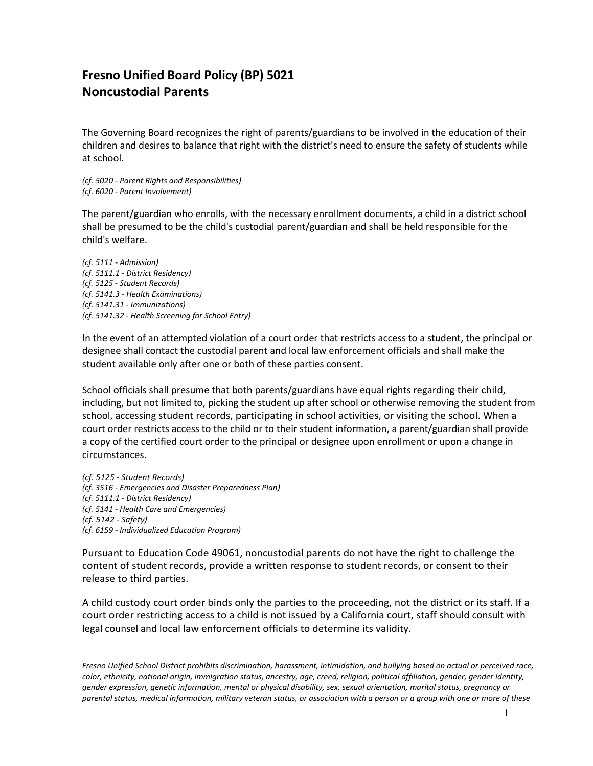## **Fresno Unified Board Policy (BP) 5021 Noncustodial Parents**

The Governing Board recognizes the right of parents/guardians to be involved in the education of their children and desires to balance that right with the district's need to ensure the safety of students while at school.

*(cf. 5020 - Parent Rights and Responsibilities) (cf. 6020 - Parent Involvement)*

The parent/guardian who enrolls, with the necessary enrollment documents, a child in a district school shall be presumed to be the child's custodial parent/guardian and shall be held responsible for the child's welfare.

*(cf. 5111 - Admission) (cf. [5111.1](http://www.gamutonline.net/displayPolicy/1020796/) - District Residency) (cf. [5125](http://www.gamutonline.net/displayPolicy/559084/) - Student Records) (cf. [5141.3](http://www.gamutonline.net/displayPolicy/171177/) - Health Examinations) (cf. [5141.31](http://www.gamutonline.net/displayPolicy/327602/) - Immunizations) (cf. [5141.32](http://www.gamutonline.net/displayPolicy/170920/) - Health Screening for School Entry)*

In the event of an attempted violation of a court order that restricts access to a student, the principal or designee shall contact the custodial parent and local law enforcement officials and shall make the student available only after one or both of these parties consent.

School officials shall presume that both parents/guardians have equal rights regarding their child, including, but not limited to, picking the student up after school or otherwise removing the student from school, accessing student records, participating in school activities, or visiting the school. When a court order restricts access to the child or to their student information, a parent/guardian shall provide a copy of the certified court order to the principal or designee upon enrollment or upon a change in circumstances.

*(cf. 5125 - Student Records) (cf. 3516 - Emergencies and Disaster Preparedness Plan) (cf. 5111.1 - District Residency) (cf. 5141 - Health Care and Emergencies) (cf. 5142 - Safety) (cf. 6159 - Individualized Education Program)*

Pursuant to Education Code 49061, noncustodial parents do not have the right to challenge the content of student records, provide a written response to student records, or consent to their release to third parties.

A child custody court order binds only the parties to the proceeding, not the district or its staff. If a court order restricting access to a child is not issued by a California court, staff should consult with legal counsel and local law enforcement officials to determine its validity.

*Fresno Unified School District prohibits discrimination, harassment, intimidation, and bullying based on actual or perceived race, color, ethnicity, national origin, immigration status, ancestry, age, creed, religion, political affiliation, gender, gender identity, gender expression, genetic information, mental or physical disability, sex, sexual orientation, marital status, pregnancy or parental status, medical information, military veteran status, or association with a person or a group with one or more of these*